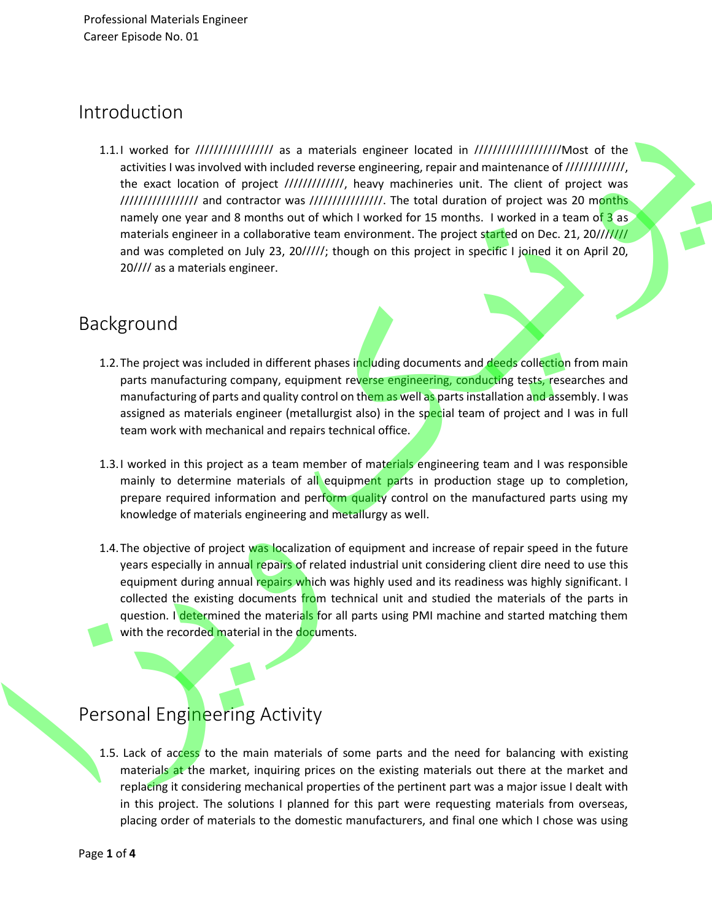#### Introduction

1.1.I worked for ///////////////// as a materials engineer located in ///////////////////Most of the activities I was involved with included reverse engineering, repair and maintenance of /////////////, the exact location of project /////////////, heavy machineries unit. The client of project was ///////////////// and contractor was ////////////////. The total duration of project was 20 months namely one year and 8 months out of which I worked for 15 months. I worked in a team of 3 as materials engineer in a collaborative team environment. The project started on Dec. 21, 20/////// and was completed on July 23, 20/////; though on this project in specific I joined it on April 20, 20//// as a materials engineer.

#### Background

- 1.2. The project was included in different phases including documents and deeds collection from main parts manufacturing company, equipment reverse engineering, conducting tests, researches and manufacturing of parts and quality control on them as well as parts installation and assembly. I was assigned as materials engineer (metallurgist also) in the special team of project and I was in full team work with mechanical and repairs technical office.
- 1.3.I worked in this project as a team member of materials engineering team and I was responsible mainly to determine materials of all equipment parts in production stage up to completion, prepare required information and perform quality control on the manufactured parts using my knowledge of materials engineering and metallurgy as well.
- 1.4. The objective of project was localization of equipment and increase of repair speed in the future years especially in annual repairs of related industrial unit considering client dire need to use this equipment during annual repairs which was highly used and its readiness was highly significant. I collected the existing documents from technical unit and studied the materials of the parts in question. I determined the materials for all parts using PMI machine and started matching them with the recorded material in the documents.

### Personal Engineering Activity

1.5. Lack of access to the main materials of some parts and the need for balancing with existing materials at the market, inquiring prices on the existing materials out there at the market and replacing it considering mechanical properties of the pertinent part was a major issue I dealt with in this project. The solutions I planned for this part were requesting materials from overseas, placing order of materials to the domestic manufacturers, and final one which I chose was using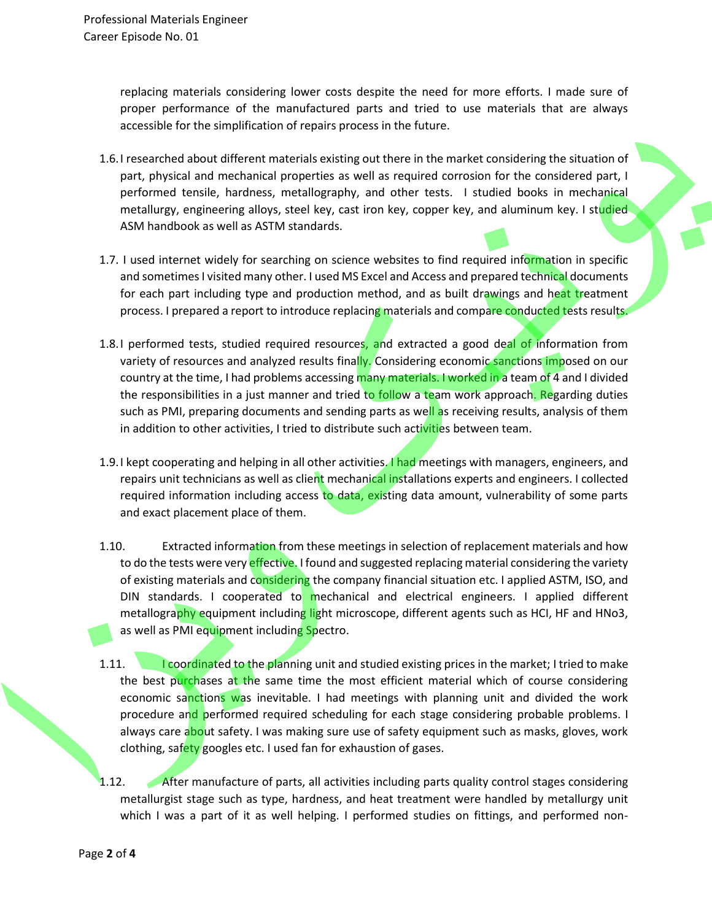replacing materials considering lower costs despite the need for more efforts. I made sure of proper performance of the manufactured parts and tried to use materials that are always accessible for the simplification of repairs process in the future.

- 1.6.I researched about different materials existing out there in the market considering the situation of part, physical and mechanical properties as well as required corrosion for the considered part, I performed tensile, hardness, metallography, and other tests. I studied books in mechanical metallurgy, engineering alloys, steel key, cast iron key, copper key, and aluminum key. I studied ASM handbook as well as ASTM standards.
- 1.7. I used internet widely for searching on science websites to find required information in specific and sometimes I visited many other. I used MS Excel and Access and prepared technical documents for each part including type and production method, and as built drawings and heat treatment process. I prepared a report to introduce replacing materials and compare conducted tests results.
- 1.8.I performed tests, studied required resources, and extracted a good deal of information from variety of resources and analyzed results finally. Considering economic sanctions imposed on our country at the time, I had problems accessing many materials. I worked in a team of 4 and I divided the responsibilities in a just manner and tried to follow a team work approach. Regarding duties such as PMI, preparing documents and sending parts as well as receiving results, analysis of them in addition to other activities, I tried to distribute such activities between team.
- 1.9. I kept cooperating and helping in all other activities. I had meetings with managers, engineers, and repairs unit technicians as well as client mechanical installations experts and engineers. I collected required information including access to data, existing data amount, vulnerability of some parts and exact placement place of them.
- 1.10. Extracted information from these meetings in selection of replacement materials and how to do the tests were very effective. I found and suggested replacing material considering the variety of existing materials and considering the company financial situation etc. I applied ASTM, ISO, and DIN standards. I cooperated to mechanical and electrical engineers. I applied different metallography equipment including light microscope, different agents such as HCI, HF and HNo3, as well as PMI equipment including Spectro.
- 1.11. **I coordinated to the planning unit and studied existing prices in the market; I tried to make** the best purchases at the same time the most efficient material which of course considering economic sanctions was inevitable. I had meetings with planning unit and divided the work procedure and performed required scheduling for each stage considering probable problems. I always care about safety. I was making sure use of safety equipment such as masks, gloves, work clothing, safety googles etc. I used fan for exhaustion of gases.
- 1.12. After manufacture of parts, all activities including parts quality control stages considering metallurgist stage such as type, hardness, and heat treatment were handled by metallurgy unit which I was a part of it as well helping. I performed studies on fittings, and performed non -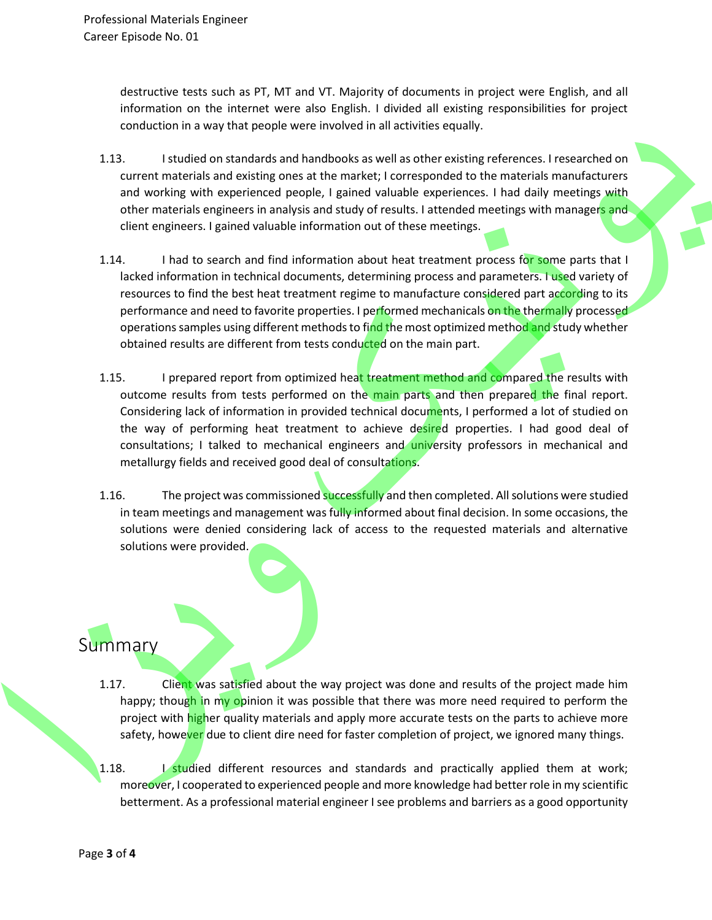destructive tests such as PT, MT and VT. Majority of documents in project were English, and all information on the internet were also English. I divided all existing responsibilities for project conduction in a way that people were involved in all activities equally.

- 1.13. I studied on standards and handbooks as well as other existing references. I researched on current materials and existing ones at the market; I corresponded to the materials manufacturers and working with experienced people, I gained valuable experiences. I had daily meetings with other materials engineers in analysis and study of results. I attended meetings with managers and client engineers. I gained valuable information out of these meetings.
- 1.14. I had to search and find information about heat treatment process for some parts that I lacked information in technical documents, determining process and parameters. I used variety of resources to find the best heat treatment regime to manufacture considered part according to its performance and need to favorite properties. I performed mechanicals on the thermally processed operations samples using different methods to find the most optimized method and study whether obtained results are different from tests conducted on the main part.
- 1.15. I prepared report from optimized heat treatment method and compared the results with outcome results from tests performed on the main parts and then prepared the final report. Considering lack of information in provided technical documents, I performed a lot of studied on the way of performing heat treatment to achieve desired properties. I had good deal of consultations; I talked to mechanical engineers and university professors in mechanical and metallurgy fields and received good deal of consultations.
- 1.16. The project was commissioned successfully and then completed. All solutions were studied in team meetings and management was fully informed about final decision. In some occasions, the solutions were denied considering lack of access to the requested materials and alternative solutions were provided.

# **Summary**

- 1.17. Client was satisfied about the way project was done and results of the project made him happy; though in my opinion it was possible that there was more need required to perform the project with higher quality materials and apply more accurate tests on the parts to achieve more safety, however due to client dire need for faster completion of project, we ignored many things.
- 1.18. I studied different resources and standards and practically applied them at work; moreover, I cooperated to experienced people and more knowledge had better role in my scientific betterment. As a professional material engineer I see problems and barriers as a good opportunity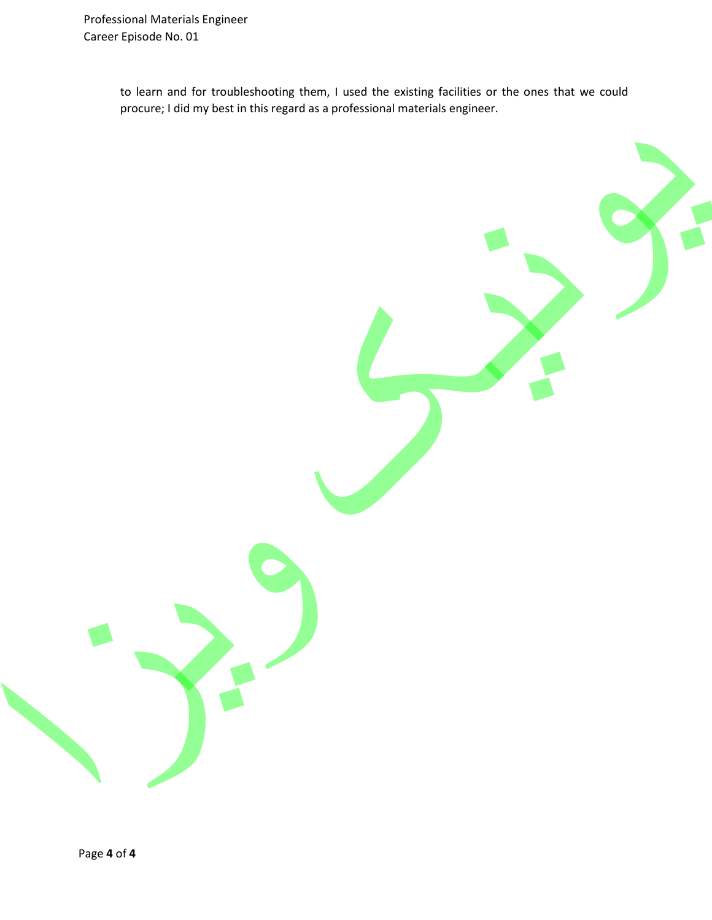to learn and for troubleshooting them, I used the existing facilities or the ones that we could procure; I did my best in this regard as a professional materials engineer.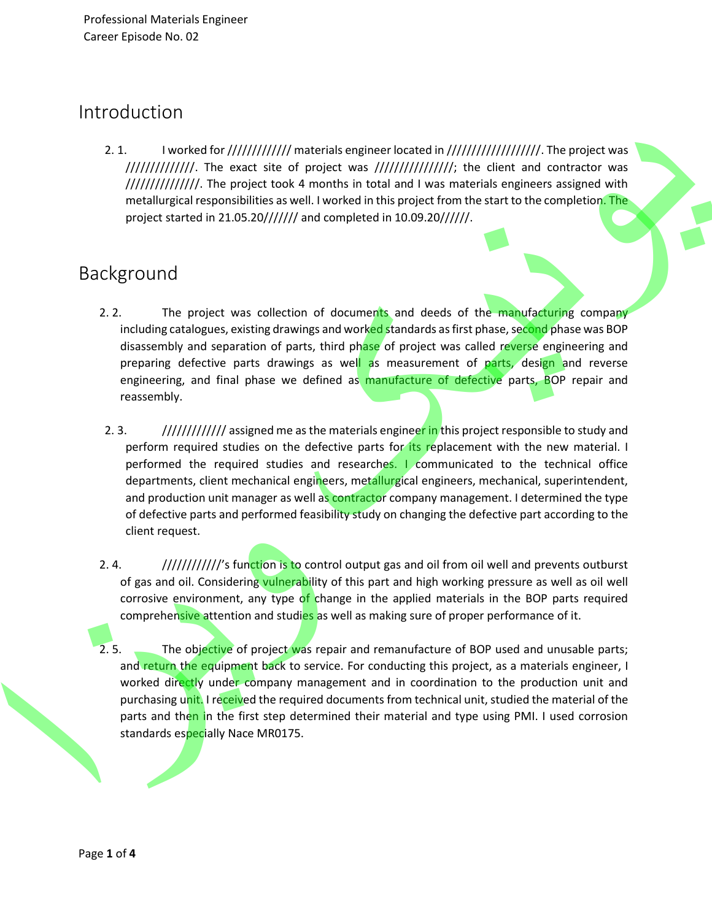#### Introduction

2. 1. I worked for ////////////// materials engineer located in ///////////////////////. The project was  $/$ ////////////////. The exact site of project was  $/$ /////////////////; the client and contractor was ///////////////////. The project took 4 months in total and I was materials engineers assigned with metallurgical responsibilities as well. I worked in this project from the start to the completion. The project started in 21.05.20/////// and completed in 10.09.20//////.

### Background

- 2. 2. The project was collection of documents and deeds of the manufacturing company including catalogues, existing drawings and worked standards as first phase, second phase was BOP disassembly and separation of parts, third phase of project was called reverse engineering and preparing defective parts drawings as well as measurement of parts, design and reverse engineering, and final phase we defined as manufacture of defective parts, BOP repair and reassembly.
- 2. 3. */////////////////////// assigned me as the materials engineer in this project responsible to study and* perform required studies on the defective parts for its replacement with the new material. I performed the required studies and researches. I communicated to the technical office departments, client mechanical engineers, metallurgical engineers, mechanical, superintendent, and production unit manager as well as contractor company management. I determined the type of defective parts and performed feasibility study on changing the defective part according to the client request.
- 2. 4. *//////////////'s* function is to control output gas and oil from oil well and prevents outburst of gas and oil. Considering vulnerability of this part and high working pressure as well as oil well corrosive environment, any type of change in the applied materials in the BOP parts required comprehensive attention and studies as well as making sure of proper performance of it.
- 2. 5. The objective of project was repair and remanufacture of BOP used and unusable parts; and return the equipment back to service. For conducting this project, as a materials engineer, I worked directly under company management and in coordination to the production unit and purchasing unit. I received the required documents from technical unit, studied the material of the parts and then in the first step determined their material and type using PMI. I used corrosion standards especially Nace MR0175.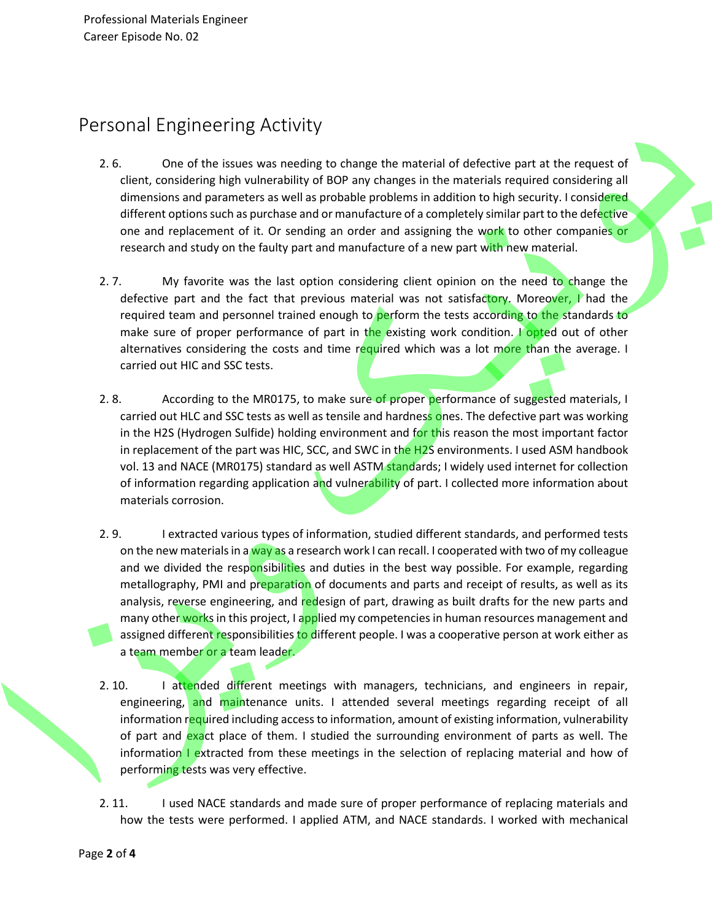# Personal Engineering Activity

- 2. 6. One of the issues was needing to change the material of defective part at the request of client, considering high vulnerability of BOP any changes in the materials required considering all dimensions and parameters as well as probable problems in addition to high security. I considered different options such as purchase and or manufacture of a completely similar part to the defective one and replacement of it. Or sending an order and assigning the work to other companies or research and study on the faulty part and manufacture of a new part with new material.
- 2. 7. My favorite was the last option considering client opinion on the need to change the defective part and the fact that previous material was not satisfactory. Moreover, I had the required team and personnel trained enough to perform the tests according to the standards to make sure of proper performance of part in the existing work condition. I opted out of other alternatives considering the costs and time required which was a lot more than the average. I carried out HIC and SSC tests.
- 2. 8. According to the MR0175, to make sure of proper performance of suggested materials, I carried out HLC and SSC tests as well as tensile and hardness ones. The defective part was working in the H2S (Hydrogen Sulfide) holding environment and for this reason the most important factor in replacement of the part was HIC, SCC, and SWC in the H2S environments. I used ASM handbook vol. 13 and NACE (MR0175) standard as well ASTM standards; I widely used internet for collection of information regarding application and vulnerability of part. I collected more information about materials corrosion.
- 2. 9. I extracted various types of information, studied different standards, and performed tests on the new materials in a way as a research work I can recall. I cooperated with two of my colleague and we divided the responsibilities and duties in the best way possible. For example, regarding metallography, PMI and preparation of documents and parts and receipt of results, as well as its analysis, reverse engineering, and redesign of part, drawing as built drafts for the new parts and many other works in this project, I applied my competencies in human resources management and assigned different responsibilities to different people. I was a cooperative person at work either as a team member or a team leader.
- 2. 10. I attended different meetings with managers, technicians, and engineers in repair, engineering, and maintenance units. I attended several meetings regarding receipt of all information required including access to information, amount of existing information, vulnerability of part and exact place of them. I studied the surrounding environment of parts as well. The information I extracted from these meetings in the selection of replacing material and how of performing tests was very effective.
- 2. 11. I used NACE standards and made sure of proper performance of replacing materials and how the tests were performed. I applied ATM, and NACE standards. I worked with mechanical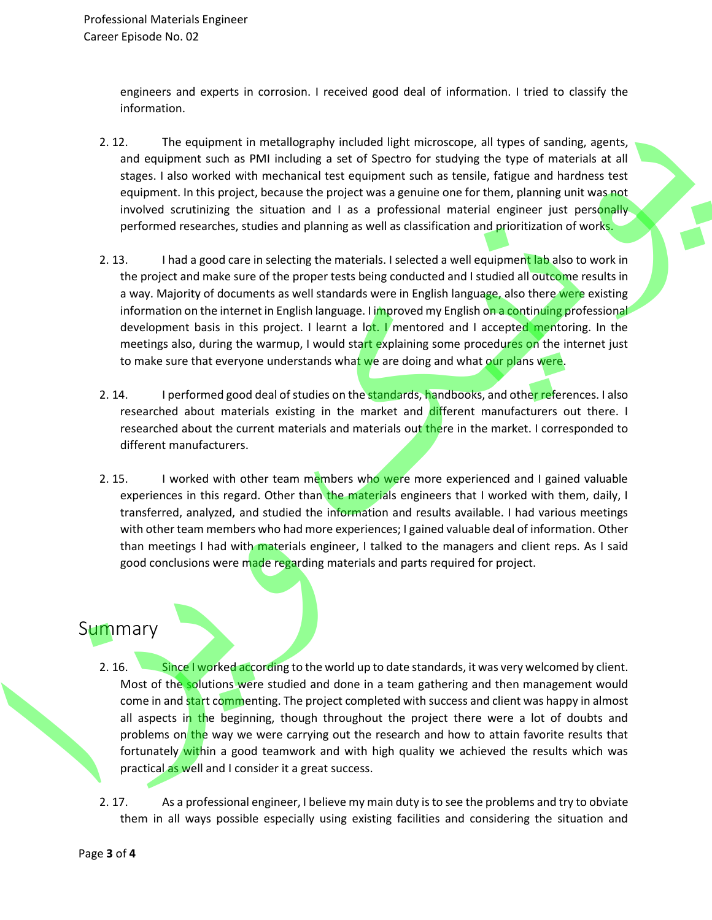engineers and experts in corrosion. I received good deal of information. I tried to classify the information.

- 2. 12. The equipment in metallography included light microscope, all types of sanding, agents, and equipment such as PMI including a set of Spectro for studying the type of materials at all stages. I also worked with mechanical test equipment such as tensile, fatigue and hardness test equipment. In this project, because the project was a genuine one for them, planning unit was not involved scrutinizing the situation and I as a professional material engineer just personally performed researches, studies and planning as well as classification and prioritization of works.
- 2. 13. I had a good care in selecting the materials. I selected a well equipment lab also to work in the project and make sure of the proper tests being conducted and I studied all outcome results in a way. Majority of documents as well standards were in English language, also there were existing information on the internet in English language. I improved my English on a continuing professional development basis in this project. I learnt a lot. I mentored and I accepted mentoring. In the meetings also, during the warmup, I would start explaining some procedures on the internet just to make sure that everyone understands what we are doing and what our plans were.
- 2. 14. I performed good deal of studies on the **standards, handbooks**, and other references. I also researched about materials existing in the market and different manufacturers out there. I researched about the current materials and materials out there in the market. I corresponded to different manufacturers.
- 2. 15. I worked with other team members who were more experienced and I gained valuable experiences in this regard. Other than the materials engineers that I worked with them, daily, I transferred, analyzed, and studied the information and results available. I had various meetings with other team members who had more experiences; I gained valuable deal of information. Other than meetings I had with materials engineer, I talked to the managers and client reps. As I said good conclusions were made regarding materials and parts required for project.

#### **Summary**

- 2. 16. Since I worked according to the world up to date standards, it was very welcomed by client. Most of the solutions were studied and done in a team gathering and then management would come in and start commenting. The project completed with success and client was happy in almost all aspects in the beginning, though throughout the project there were a lot of doubts and problems on the way we were carrying out the research and how to attain favorite results that fortunately within a good teamwork and with high quality we achieved the results which was practical as well and I consider it a great success.
- 2. 17. As a professional engineer, I believe my main duty is to see the problems and try to obviate them in all ways possible especially using existing facilities and considering the situation and